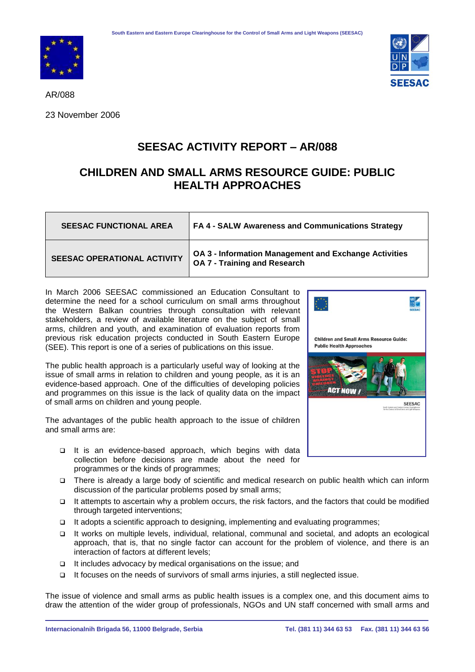



AR/088

23 November 2006

## **SEESAC ACTIVITY REPORT – AR/088**

## **CHILDREN AND SMALL ARMS RESOURCE GUIDE: PUBLIC HEALTH APPROACHES**

| <b>SEESAC FUNCTIONAL AREA</b>      | FA 4 - SALW Awareness and Communications Strategy                                     |
|------------------------------------|---------------------------------------------------------------------------------------|
| <b>SEESAC OPERATIONAL ACTIVITY</b> | OA 3 - Information Management and Exchange Activities<br>OA 7 - Training and Research |

In March 2006 SEESAC commissioned an Education Consultant to determine the need for a school curriculum on small arms throughout the Western Balkan countries through consultation with relevant stakeholders, a review of available literature on the subject of small arms, children and youth, and examination of evaluation reports from previous risk education projects conducted in South Eastern Europe (SEE). This report is one of a series of publications on this issue.

The public health approach is a particularly useful way of looking at the issue of small arms in relation to children and young people, as it is an evidence-based approach. One of the difficulties of developing policies and programmes on this issue is the lack of quality data on the impact of small arms on children and young people.

The advantages of the public health approach to the issue of children and small arms are:

- It is an evidence-based approach, which begins with data collection before decisions are made about the need for programmes or the kinds of programmes;
- There is already a large body of scientific and medical research on public health which can inform discussion of the particular problems posed by small arms;
- $\Box$  It attempts to ascertain why a problem occurs, the risk factors, and the factors that could be modified through targeted interventions;
- It adopts a scientific approach to designing, implementing and evaluating programmes;
- It works on multiple levels, individual, relational, communal and societal, and adopts an ecological approach, that is, that no single factor can account for the problem of violence, and there is an interaction of factors at different levels;
- $\Box$  It includes advocacy by medical organisations on the issue; and
- It focuses on the needs of survivors of small arms injuries, a still neglected issue.

The issue of violence and small arms as public health issues is a complex one, and this document aims to draw the attention of the wider group of professionals, NGOs and UN staff concerned with small arms and